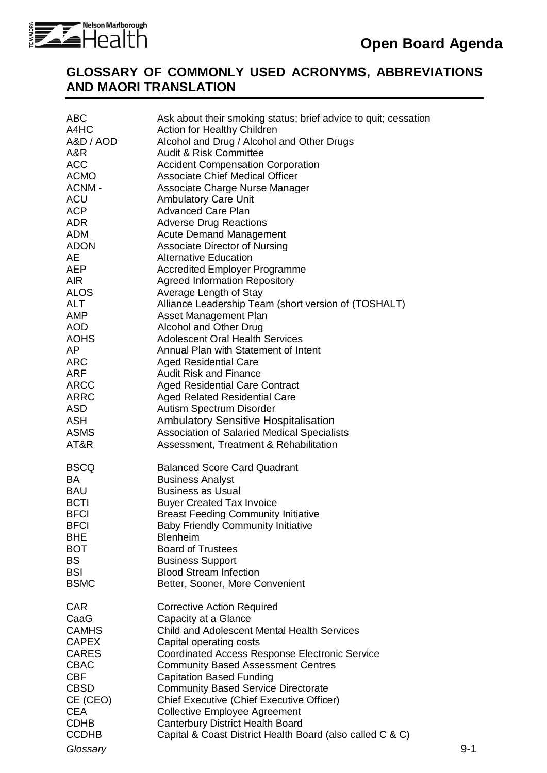

#### **GLOSSARY OF COMMONLY USED ACRONYMS, ABBREVIATIONS AND MAORI TRANSLATION**

| <b>ABC</b><br>A4HC<br>A&D / AOD<br>A&R<br><b>ACC</b><br><b>ACMO</b><br>ACNM-<br><b>ACU</b><br>ACP<br><b>ADR</b><br>ADM<br>ADON<br>AE<br>AEP<br><b>AIR</b><br>ALOS<br><b>ALT</b><br>AMP<br><b>AOD</b><br>AOHS<br>AP<br><b>ARC</b><br>ARF<br><b>ARCC</b><br><b>ARRC</b><br><b>ASD</b><br><b>ASH</b><br><b>ASMS</b><br>AT&R | Ask about their smoking status; brief advice to quit; cessation<br>Action for Healthy Children<br>Alcohol and Drug / Alcohol and Other Drugs<br><b>Audit &amp; Risk Committee</b><br><b>Accident Compensation Corporation</b><br><b>Associate Chief Medical Officer</b><br>Associate Charge Nurse Manager<br><b>Ambulatory Care Unit</b><br><b>Advanced Care Plan</b><br><b>Adverse Drug Reactions</b><br><b>Acute Demand Management</b><br><b>Associate Director of Nursing</b><br><b>Alternative Education</b><br><b>Accredited Employer Programme</b><br><b>Agreed Information Repository</b><br>Average Length of Stay<br>Alliance Leadership Team (short version of (TOSHALT)<br>Asset Management Plan<br>Alcohol and Other Drug<br><b>Adolescent Oral Health Services</b><br>Annual Plan with Statement of Intent<br><b>Aged Residential Care</b><br><b>Audit Risk and Finance</b><br><b>Aged Residential Care Contract</b><br>Aged Related Residential Care<br>Autism Spectrum Disorder<br><b>Ambulatory Sensitive Hospitalisation</b><br><b>Association of Salaried Medical Specialists</b><br>Assessment, Treatment & Rehabilitation |         |
|--------------------------------------------------------------------------------------------------------------------------------------------------------------------------------------------------------------------------------------------------------------------------------------------------------------------------|-----------------------------------------------------------------------------------------------------------------------------------------------------------------------------------------------------------------------------------------------------------------------------------------------------------------------------------------------------------------------------------------------------------------------------------------------------------------------------------------------------------------------------------------------------------------------------------------------------------------------------------------------------------------------------------------------------------------------------------------------------------------------------------------------------------------------------------------------------------------------------------------------------------------------------------------------------------------------------------------------------------------------------------------------------------------------------------------------------------------------------------------------|---------|
| <b>BSCQ</b><br>BA<br><b>BAU</b><br><b>BCTI</b><br><b>BFCI</b><br><b>BFCI</b><br><b>BHE</b><br><b>BOT</b><br><b>BS</b><br><b>BSI</b><br><b>BSMC</b>                                                                                                                                                                       | <b>Balanced Score Card Quadrant</b><br><b>Business Analyst</b><br><b>Business as Usual</b><br><b>Buyer Created Tax Invoice</b><br><b>Breast Feeding Community Initiative</b><br><b>Baby Friendly Community Initiative</b><br><b>Blenheim</b><br><b>Board of Trustees</b><br><b>Business Support</b><br><b>Blood Stream Infection</b><br>Better, Sooner, More Convenient                                                                                                                                                                                                                                                                                                                                                                                                                                                                                                                                                                                                                                                                                                                                                                       |         |
| <b>CAR</b><br>CaaG<br><b>CAMHS</b><br><b>CAPEX</b><br><b>CARES</b><br><b>CBAC</b><br><b>CBF</b><br><b>CBSD</b><br>CE (CEO)<br><b>CEA</b><br><b>CDHB</b><br><b>CCDHB</b><br>Glossary                                                                                                                                      | <b>Corrective Action Required</b><br>Capacity at a Glance<br><b>Child and Adolescent Mental Health Services</b><br>Capital operating costs<br><b>Coordinated Access Response Electronic Service</b><br><b>Community Based Assessment Centres</b><br><b>Capitation Based Funding</b><br><b>Community Based Service Directorate</b><br>Chief Executive (Chief Executive Officer)<br><b>Collective Employee Agreement</b><br><b>Canterbury District Health Board</b><br>Capital & Coast District Health Board (also called C & C)                                                                                                                                                                                                                                                                                                                                                                                                                                                                                                                                                                                                                | $9 - 1$ |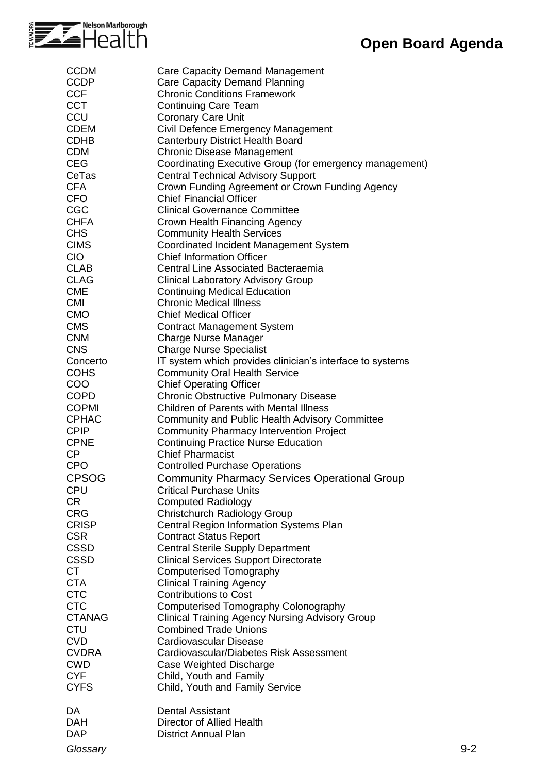

| <b>CCDM</b>   | Care Capacity Demand Management                                                              |
|---------------|----------------------------------------------------------------------------------------------|
| <b>CCDP</b>   | <b>Care Capacity Demand Planning</b>                                                         |
| <b>CCF</b>    | <b>Chronic Conditions Framework</b>                                                          |
| <b>CCT</b>    | <b>Continuing Care Team</b>                                                                  |
| CCU           | <b>Coronary Care Unit</b>                                                                    |
| <b>CDEM</b>   | Civil Defence Emergency Management                                                           |
| <b>CDHB</b>   | <b>Canterbury District Health Board</b>                                                      |
| <b>CDM</b>    | <b>Chronic Disease Management</b>                                                            |
| <b>CEG</b>    | Coordinating Executive Group (for emergency management)                                      |
| CeTas         | <b>Central Technical Advisory Support</b>                                                    |
| <b>CFA</b>    | Crown Funding Agreement or Crown Funding Agency                                              |
| <b>CFO</b>    | <b>Chief Financial Officer</b>                                                               |
| <b>CGC</b>    | <b>Clinical Governance Committee</b>                                                         |
| <b>CHFA</b>   | Crown Health Financing Agency                                                                |
| <b>CHS</b>    | <b>Community Health Services</b>                                                             |
| <b>CIMS</b>   | Coordinated Incident Management System                                                       |
| <b>CIO</b>    | <b>Chief Information Officer</b>                                                             |
| <b>CLAB</b>   | <b>Central Line Associated Bacteraemia</b>                                                   |
| <b>CLAG</b>   | <b>Clinical Laboratory Advisory Group</b>                                                    |
| <b>CME</b>    | <b>Continuing Medical Education</b>                                                          |
| <b>CMI</b>    | <b>Chronic Medical Illness</b>                                                               |
| <b>CMO</b>    | <b>Chief Medical Officer</b>                                                                 |
| <b>CMS</b>    | <b>Contract Management System</b>                                                            |
| <b>CNM</b>    | <b>Charge Nurse Manager</b>                                                                  |
| <b>CNS</b>    | <b>Charge Nurse Specialist</b>                                                               |
| Concerto      | IT system which provides clinician's interface to systems                                    |
| <b>COHS</b>   | <b>Community Oral Health Service</b>                                                         |
| COO           | <b>Chief Operating Officer</b>                                                               |
| <b>COPD</b>   | <b>Chronic Obstructive Pulmonary Disease</b>                                                 |
| <b>COPMI</b>  | Children of Parents with Mental Illness                                                      |
| <b>CPHAC</b>  | <b>Community and Public Health Advisory Committee</b>                                        |
| <b>CPIP</b>   |                                                                                              |
| <b>CPNE</b>   | <b>Community Pharmacy Intervention Project</b><br><b>Continuing Practice Nurse Education</b> |
| CP            | <b>Chief Pharmacist</b>                                                                      |
| <b>CPO</b>    |                                                                                              |
|               | <b>Controlled Purchase Operations</b>                                                        |
| <b>CPSOG</b>  | <b>Community Pharmacy Services Operational Group</b>                                         |
| <b>CPU</b>    | <b>Critical Purchase Units</b>                                                               |
| CR.           | <b>Computed Radiology</b>                                                                    |
| <b>CRG</b>    | <b>Christchurch Radiology Group</b>                                                          |
| <b>CRISP</b>  | Central Region Information Systems Plan                                                      |
| <b>CSR</b>    | <b>Contract Status Report</b>                                                                |
| <b>CSSD</b>   | <b>Central Sterile Supply Department</b>                                                     |
| <b>CSSD</b>   | <b>Clinical Services Support Directorate</b>                                                 |
| <b>CT</b>     | Computerised Tomography                                                                      |
| <b>CTA</b>    | <b>Clinical Training Agency</b>                                                              |
| <b>CTC</b>    | <b>Contributions to Cost</b>                                                                 |
| <b>CTC</b>    | Computerised Tomography Colonography                                                         |
| <b>CTANAG</b> | <b>Clinical Training Agency Nursing Advisory Group</b>                                       |
| <b>CTU</b>    | <b>Combined Trade Unions</b>                                                                 |
| <b>CVD</b>    | Cardiovascular Disease                                                                       |
| <b>CVDRA</b>  | Cardiovascular/Diabetes Risk Assessment                                                      |
| <b>CWD</b>    | Case Weighted Discharge                                                                      |
| <b>CYF</b>    | Child, Youth and Family                                                                      |
| <b>CYFS</b>   | Child, Youth and Family Service                                                              |
|               |                                                                                              |
| DA            | <b>Dental Assistant</b>                                                                      |
| <b>DAH</b>    | Director of Allied Health                                                                    |
| <b>DAP</b>    | <b>District Annual Plan</b>                                                                  |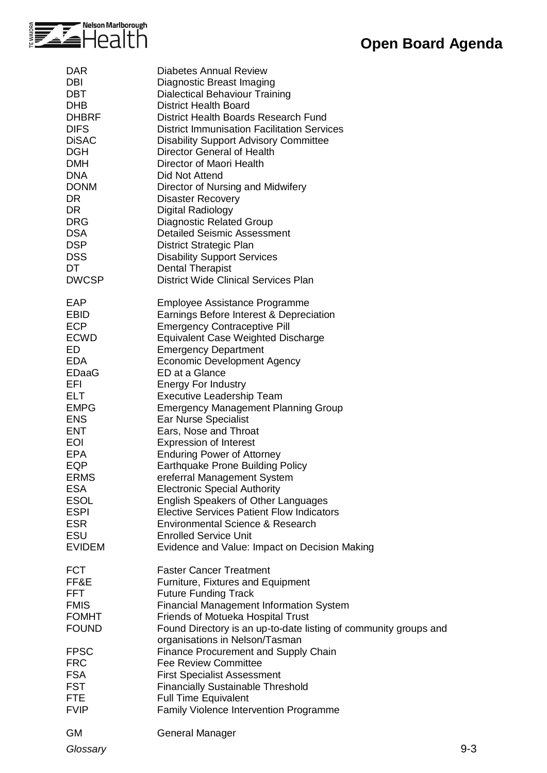

| <b>DAR</b>                                                                                                                                                            | <b>Diabetes Annual Review</b>                                                                                                                                                                                                                                                                                                                                                                                                                                                                                                                          |
|-----------------------------------------------------------------------------------------------------------------------------------------------------------------------|--------------------------------------------------------------------------------------------------------------------------------------------------------------------------------------------------------------------------------------------------------------------------------------------------------------------------------------------------------------------------------------------------------------------------------------------------------------------------------------------------------------------------------------------------------|
| DBI                                                                                                                                                                   | Diagnostic Breast Imaging                                                                                                                                                                                                                                                                                                                                                                                                                                                                                                                              |
| <b>DBT</b>                                                                                                                                                            | <b>Dialectical Behaviour Training</b>                                                                                                                                                                                                                                                                                                                                                                                                                                                                                                                  |
| <b>DHB</b>                                                                                                                                                            | <b>District Health Board</b>                                                                                                                                                                                                                                                                                                                                                                                                                                                                                                                           |
| <b>DHBRF</b>                                                                                                                                                          | District Health Boards Research Fund                                                                                                                                                                                                                                                                                                                                                                                                                                                                                                                   |
| <b>DIFS</b>                                                                                                                                                           | <b>District Immunisation Facilitation Services</b>                                                                                                                                                                                                                                                                                                                                                                                                                                                                                                     |
| <b>DiSAC</b>                                                                                                                                                          | <b>Disability Support Advisory Committee</b>                                                                                                                                                                                                                                                                                                                                                                                                                                                                                                           |
| <b>DGH</b>                                                                                                                                                            | Director General of Health                                                                                                                                                                                                                                                                                                                                                                                                                                                                                                                             |
| <b>DMH</b>                                                                                                                                                            | Director of Maori Health                                                                                                                                                                                                                                                                                                                                                                                                                                                                                                                               |
| <b>DNA</b>                                                                                                                                                            | Did Not Attend                                                                                                                                                                                                                                                                                                                                                                                                                                                                                                                                         |
| <b>DONM</b>                                                                                                                                                           | Director of Nursing and Midwifery                                                                                                                                                                                                                                                                                                                                                                                                                                                                                                                      |
| DR.                                                                                                                                                                   | <b>Disaster Recovery</b>                                                                                                                                                                                                                                                                                                                                                                                                                                                                                                                               |
| DR.                                                                                                                                                                   | <b>Digital Radiology</b>                                                                                                                                                                                                                                                                                                                                                                                                                                                                                                                               |
| <b>DRG</b>                                                                                                                                                            | <b>Diagnostic Related Group</b>                                                                                                                                                                                                                                                                                                                                                                                                                                                                                                                        |
| <b>DSA</b>                                                                                                                                                            | <b>Detailed Seismic Assessment</b>                                                                                                                                                                                                                                                                                                                                                                                                                                                                                                                     |
| <b>DSP</b>                                                                                                                                                            | <b>District Strategic Plan</b>                                                                                                                                                                                                                                                                                                                                                                                                                                                                                                                         |
| <b>DSS</b>                                                                                                                                                            | <b>Disability Support Services</b>                                                                                                                                                                                                                                                                                                                                                                                                                                                                                                                     |
| DT                                                                                                                                                                    | <b>Dental Therapist</b>                                                                                                                                                                                                                                                                                                                                                                                                                                                                                                                                |
| <b>DWCSP</b>                                                                                                                                                          | <b>District Wide Clinical Services Plan</b>                                                                                                                                                                                                                                                                                                                                                                                                                                                                                                            |
| EAP                                                                                                                                                                   | Employee Assistance Programme                                                                                                                                                                                                                                                                                                                                                                                                                                                                                                                          |
| <b>EBID</b>                                                                                                                                                           | Earnings Before Interest & Depreciation                                                                                                                                                                                                                                                                                                                                                                                                                                                                                                                |
| <b>ECP</b>                                                                                                                                                            | <b>Emergency Contraceptive Pill</b>                                                                                                                                                                                                                                                                                                                                                                                                                                                                                                                    |
| <b>ECWD</b>                                                                                                                                                           | Equivalent Case Weighted Discharge                                                                                                                                                                                                                                                                                                                                                                                                                                                                                                                     |
| ED                                                                                                                                                                    | <b>Emergency Department</b>                                                                                                                                                                                                                                                                                                                                                                                                                                                                                                                            |
| <b>EDA</b>                                                                                                                                                            | <b>Economic Development Agency</b>                                                                                                                                                                                                                                                                                                                                                                                                                                                                                                                     |
| EDaaG                                                                                                                                                                 | ED at a Glance                                                                                                                                                                                                                                                                                                                                                                                                                                                                                                                                         |
| EFI                                                                                                                                                                   | <b>Energy For Industry</b>                                                                                                                                                                                                                                                                                                                                                                                                                                                                                                                             |
| <b>ELT</b>                                                                                                                                                            | <b>Executive Leadership Team</b>                                                                                                                                                                                                                                                                                                                                                                                                                                                                                                                       |
| <b>EMPG</b>                                                                                                                                                           | <b>Emergency Management Planning Group</b>                                                                                                                                                                                                                                                                                                                                                                                                                                                                                                             |
| <b>ENS</b>                                                                                                                                                            | Ear Nurse Specialist                                                                                                                                                                                                                                                                                                                                                                                                                                                                                                                                   |
| <b>ENT</b>                                                                                                                                                            | Ears, Nose and Throat                                                                                                                                                                                                                                                                                                                                                                                                                                                                                                                                  |
| EOI                                                                                                                                                                   | <b>Expression of Interest</b>                                                                                                                                                                                                                                                                                                                                                                                                                                                                                                                          |
| <b>EPA</b>                                                                                                                                                            | <b>Enduring Power of Attorney</b>                                                                                                                                                                                                                                                                                                                                                                                                                                                                                                                      |
| EQP                                                                                                                                                                   | <b>Earthquake Prone Building Policy</b>                                                                                                                                                                                                                                                                                                                                                                                                                                                                                                                |
| <b>ERMS</b>                                                                                                                                                           | ereferral Management System                                                                                                                                                                                                                                                                                                                                                                                                                                                                                                                            |
| <b>ESA</b>                                                                                                                                                            | <b>Electronic Special Authority</b>                                                                                                                                                                                                                                                                                                                                                                                                                                                                                                                    |
| <b>ESOL</b>                                                                                                                                                           | <b>English Speakers of Other Languages</b>                                                                                                                                                                                                                                                                                                                                                                                                                                                                                                             |
| <b>ESPI</b>                                                                                                                                                           | <b>Elective Services Patient Flow Indicators</b>                                                                                                                                                                                                                                                                                                                                                                                                                                                                                                       |
| <b>ESR</b>                                                                                                                                                            | Environmental Science & Research                                                                                                                                                                                                                                                                                                                                                                                                                                                                                                                       |
| ESU                                                                                                                                                                   | <b>Enrolled Service Unit</b>                                                                                                                                                                                                                                                                                                                                                                                                                                                                                                                           |
| <b>EVIDEM</b>                                                                                                                                                         | Evidence and Value: Impact on Decision Making                                                                                                                                                                                                                                                                                                                                                                                                                                                                                                          |
| <b>FCT</b><br>FF&E<br><b>FFT</b><br><b>FMIS</b><br><b>FOMHT</b><br><b>FOUND</b><br><b>FPSC</b><br><b>FRC</b><br><b>FSA</b><br><b>FST</b><br><b>FTE</b><br><b>FVIP</b> | <b>Faster Cancer Treatment</b><br>Furniture, Fixtures and Equipment<br><b>Future Funding Track</b><br><b>Financial Management Information System</b><br><b>Friends of Motueka Hospital Trust</b><br>Found Directory is an up-to-date listing of community groups and<br>organisations in Nelson/Tasman<br><b>Finance Procurement and Supply Chain</b><br><b>Fee Review Committee</b><br><b>First Specialist Assessment</b><br><b>Financially Sustainable Threshold</b><br><b>Full Time Equivalent</b><br><b>Family Violence Intervention Programme</b> |
| <b>GM</b>                                                                                                                                                             | General Manager                                                                                                                                                                                                                                                                                                                                                                                                                                                                                                                                        |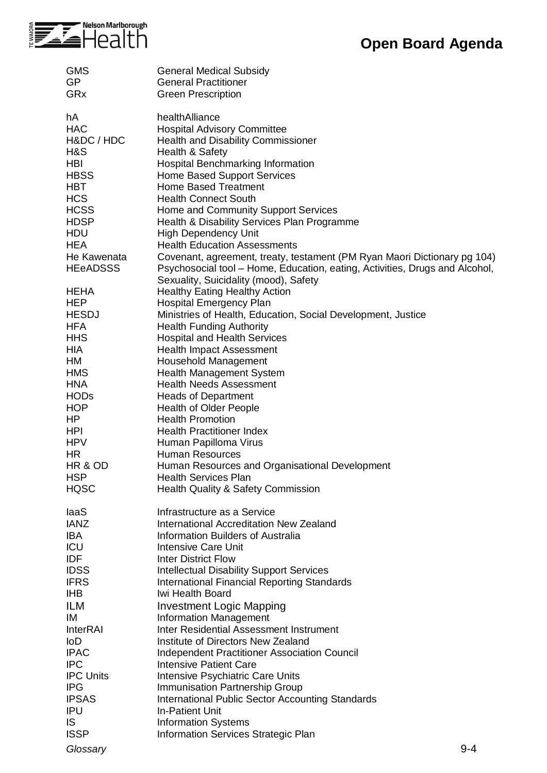

| <b>GMS</b>       | <b>General Medical Subsidy</b>                                              |
|------------------|-----------------------------------------------------------------------------|
| <b>GP</b>        | <b>General Practitioner</b>                                                 |
| GRx              | <b>Green Prescription</b>                                                   |
|                  |                                                                             |
| hA               | healthAlliance                                                              |
| <b>HAC</b>       | <b>Hospital Advisory Committee</b>                                          |
| H&DC / HDC       | <b>Health and Disability Commissioner</b>                                   |
| H&S              | Health & Safety                                                             |
| <b>HBI</b>       |                                                                             |
|                  | <b>Hospital Benchmarking Information</b>                                    |
| <b>HBSS</b>      | <b>Home Based Support Services</b>                                          |
| <b>HBT</b>       | <b>Home Based Treatment</b>                                                 |
| <b>HCS</b>       | <b>Health Connect South</b>                                                 |
| <b>HCSS</b>      | Home and Community Support Services                                         |
| <b>HDSP</b>      | Health & Disability Services Plan Programme                                 |
| <b>HDU</b>       | <b>High Dependency Unit</b>                                                 |
| <b>HEA</b>       | <b>Health Education Assessments</b>                                         |
| He Kawenata      | Covenant, agreement, treaty, testament (PM Ryan Maori Dictionary pg 104)    |
| <b>HEeADSSS</b>  | Psychosocial tool - Home, Education, eating, Activities, Drugs and Alcohol, |
|                  | Sexuality, Suicidality (mood), Safety                                       |
| <b>HEHA</b>      | <b>Healthy Eating Healthy Action</b>                                        |
| <b>HEP</b>       | <b>Hospital Emergency Plan</b>                                              |
| <b>HESDJ</b>     | Ministries of Health, Education, Social Development, Justice                |
| <b>HFA</b>       |                                                                             |
|                  | <b>Health Funding Authority</b>                                             |
| <b>HHS</b>       | <b>Hospital and Health Services</b>                                         |
| <b>HIA</b>       | <b>Health Impact Assessment</b>                                             |
| HM               | <b>Household Management</b>                                                 |
| <b>HMS</b>       | <b>Health Management System</b>                                             |
| <b>HNA</b>       | <b>Health Needs Assessment</b>                                              |
| <b>HODs</b>      | <b>Heads of Department</b>                                                  |
| <b>HOP</b>       | <b>Health of Older People</b>                                               |
| HP               | <b>Health Promotion</b>                                                     |
| <b>HPI</b>       | <b>Health Practitioner Index</b>                                            |
| <b>HPV</b>       | Human Papilloma Virus                                                       |
| HR               | <b>Human Resources</b>                                                      |
| HR & OD          | Human Resources and Organisational Development                              |
| <b>HSP</b>       | <b>Health Services Plan</b>                                                 |
| <b>HQSC</b>      | <b>Health Quality &amp; Safety Commission</b>                               |
|                  |                                                                             |
|                  |                                                                             |
| laaS             | Infrastructure as a Service                                                 |
| <b>IANZ</b>      | <b>International Accreditation New Zealand</b>                              |
| IBA              | <b>Information Builders of Australia</b>                                    |
| <b>ICU</b>       | <b>Intensive Care Unit</b>                                                  |
| <b>IDF</b>       | <b>Inter District Flow</b>                                                  |
| <b>IDSS</b>      | <b>Intellectual Disability Support Services</b>                             |
| <b>IFRS</b>      | <b>International Financial Reporting Standards</b>                          |
| <b>IHB</b>       | Iwi Health Board                                                            |
| <b>ILM</b>       | <b>Investment Logic Mapping</b>                                             |
| IM               | <b>Information Management</b>                                               |
| <b>InterRAI</b>  | Inter Residential Assessment Instrument                                     |
| loD              | Institute of Directors New Zealand                                          |
| <b>IPAC</b>      | <b>Independent Practitioner Association Council</b>                         |
| <b>IPC</b>       | <b>Intensive Patient Care</b>                                               |
| <b>IPC Units</b> |                                                                             |
|                  | Intensive Psychiatric Care Units                                            |
| <b>IPG</b>       | <b>Immunisation Partnership Group</b>                                       |
| <b>IPSAS</b>     | International Public Sector Accounting Standards                            |
| <b>IPU</b>       | <b>In-Patient Unit</b>                                                      |
| <b>IS</b>        | <b>Information Systems</b>                                                  |
| <b>ISSP</b>      | Information Services Strategic Plan                                         |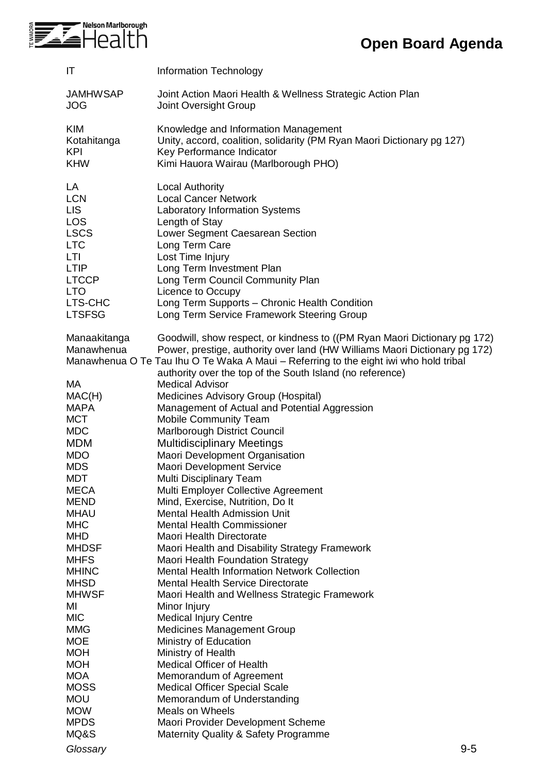

| IT                         | Information Technology                                                                                                                                                                                                                                                                                        |
|----------------------------|---------------------------------------------------------------------------------------------------------------------------------------------------------------------------------------------------------------------------------------------------------------------------------------------------------------|
| <b>JAMHWSAP</b>            | Joint Action Maori Health & Wellness Strategic Action Plan                                                                                                                                                                                                                                                    |
| <b>JOG</b>                 | Joint Oversight Group                                                                                                                                                                                                                                                                                         |
| <b>KIM</b>                 | Knowledge and Information Management                                                                                                                                                                                                                                                                          |
| Kotahitanga                | Unity, accord, coalition, solidarity (PM Ryan Maori Dictionary pg 127)                                                                                                                                                                                                                                        |
| <b>KPI</b>                 | Key Performance Indicator                                                                                                                                                                                                                                                                                     |
| <b>KHW</b>                 | Kimi Hauora Wairau (Marlborough PHO)                                                                                                                                                                                                                                                                          |
| LA                         | <b>Local Authority</b>                                                                                                                                                                                                                                                                                        |
| <b>LCN</b>                 | <b>Local Cancer Network</b>                                                                                                                                                                                                                                                                                   |
| <b>LIS</b>                 | Laboratory Information Systems                                                                                                                                                                                                                                                                                |
| <b>LOS</b>                 | Length of Stay                                                                                                                                                                                                                                                                                                |
| <b>LSCS</b>                | Lower Segment Caesarean Section                                                                                                                                                                                                                                                                               |
| <b>LTC</b>                 | Long Term Care                                                                                                                                                                                                                                                                                                |
| <b>LTI</b>                 | Lost Time Injury                                                                                                                                                                                                                                                                                              |
| <b>LTIP</b>                | Long Term Investment Plan                                                                                                                                                                                                                                                                                     |
| <b>LTCCP</b>               | Long Term Council Community Plan                                                                                                                                                                                                                                                                              |
| <b>LTO</b>                 | Licence to Occupy                                                                                                                                                                                                                                                                                             |
| LTS-CHC                    | Long Term Supports - Chronic Health Condition                                                                                                                                                                                                                                                                 |
| <b>LTSFSG</b>              | Long Term Service Framework Steering Group                                                                                                                                                                                                                                                                    |
| Manaakitanga<br>Manawhenua | Goodwill, show respect, or kindness to ((PM Ryan Maori Dictionary pg 172)<br>Power, prestige, authority over land (HW Williams Maori Dictionary pg 172)<br>Manawhenua O Te Tau Ihu O Te Waka A Maui - Referring to the eight iwi who hold tribal<br>authority over the top of the South Island (no reference) |
| MA                         | <b>Medical Advisor</b>                                                                                                                                                                                                                                                                                        |
| MAC(H)                     | Medicines Advisory Group (Hospital)                                                                                                                                                                                                                                                                           |
| <b>MAPA</b>                | Management of Actual and Potential Aggression                                                                                                                                                                                                                                                                 |
| <b>MCT</b>                 | <b>Mobile Community Team</b>                                                                                                                                                                                                                                                                                  |
| <b>MDC</b>                 | Marlborough District Council                                                                                                                                                                                                                                                                                  |
| <b>MDM</b>                 | <b>Multidisciplinary Meetings</b>                                                                                                                                                                                                                                                                             |
| <b>MDO</b>                 | Maori Development Organisation                                                                                                                                                                                                                                                                                |
| <b>MDS</b>                 | Maori Development Service                                                                                                                                                                                                                                                                                     |
| <b>MDT</b>                 | Multi Disciplinary Team                                                                                                                                                                                                                                                                                       |
| <b>MECA</b>                | Multi Employer Collective Agreement                                                                                                                                                                                                                                                                           |
| <b>MEND</b>                | Mind, Exercise, Nutrition, Do It                                                                                                                                                                                                                                                                              |
| <b>MHAU</b>                | <b>Mental Health Admission Unit</b>                                                                                                                                                                                                                                                                           |
| <b>MHC</b>                 | <b>Mental Health Commissioner</b>                                                                                                                                                                                                                                                                             |
| <b>MHD</b>                 | <b>Maori Health Directorate</b>                                                                                                                                                                                                                                                                               |
| <b>MHDSF</b>               | Maori Health and Disability Strategy Framework                                                                                                                                                                                                                                                                |
| <b>MHFS</b>                | <b>Maori Health Foundation Strategy</b>                                                                                                                                                                                                                                                                       |
| <b>MHINC</b>               | <b>Mental Health Information Network Collection</b>                                                                                                                                                                                                                                                           |
| <b>MHSD</b>                | <b>Mental Health Service Directorate</b>                                                                                                                                                                                                                                                                      |
| <b>MHWSF</b>               | Maori Health and Wellness Strategic Framework                                                                                                                                                                                                                                                                 |
| ΜI                         | Minor Injury                                                                                                                                                                                                                                                                                                  |
| <b>MIC</b>                 | <b>Medical Injury Centre</b>                                                                                                                                                                                                                                                                                  |
| <b>MMG</b>                 | Medicines Management Group                                                                                                                                                                                                                                                                                    |
| <b>MOE</b>                 | Ministry of Education                                                                                                                                                                                                                                                                                         |
| <b>MOH</b>                 | Ministry of Health                                                                                                                                                                                                                                                                                            |
| <b>MOH</b>                 | Medical Officer of Health                                                                                                                                                                                                                                                                                     |
| <b>MOA</b>                 | Memorandum of Agreement                                                                                                                                                                                                                                                                                       |
| <b>MOSS</b>                | <b>Medical Officer Special Scale</b>                                                                                                                                                                                                                                                                          |
| <b>MOU</b>                 | Memorandum of Understanding                                                                                                                                                                                                                                                                                   |
| <b>MOW</b>                 | <b>Meals on Wheels</b>                                                                                                                                                                                                                                                                                        |
| <b>MPDS</b>                | Maori Provider Development Scheme                                                                                                                                                                                                                                                                             |
| MQ&S                       | <b>Maternity Quality &amp; Safety Programme</b>                                                                                                                                                                                                                                                               |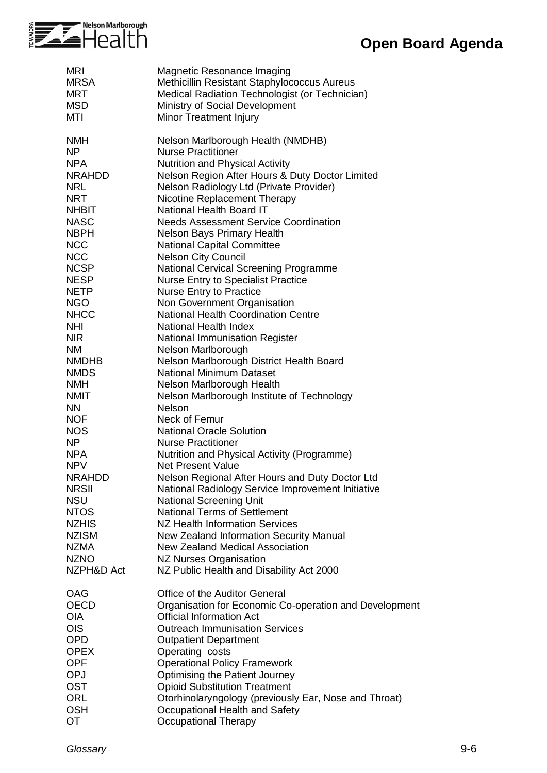

| <b>MRI</b>    | Magnetic Resonance Imaging                             |
|---------------|--------------------------------------------------------|
| <b>MRSA</b>   | Methicillin Resistant Staphylococcus Aureus            |
| <b>MRT</b>    | Medical Radiation Technologist (or Technician)         |
| <b>MSD</b>    | Ministry of Social Development                         |
| MTI           | Minor Treatment Injury                                 |
| <b>NMH</b>    | Nelson Marlborough Health (NMDHB)                      |
| <b>NP</b>     | <b>Nurse Practitioner</b>                              |
| <b>NPA</b>    | <b>Nutrition and Physical Activity</b>                 |
| NRAHDD        | Nelson Region After Hours & Duty Doctor Limited        |
| <b>NRL</b>    | Nelson Radiology Ltd (Private Provider)                |
| <b>NRT</b>    | Nicotine Replacement Therapy                           |
| <b>NHBIT</b>  | National Health Board IT                               |
| <b>NASC</b>   | <b>Needs Assessment Service Coordination</b>           |
| <b>NBPH</b>   | <b>Nelson Bays Primary Health</b>                      |
| <b>NCC</b>    | <b>National Capital Committee</b>                      |
| <b>NCC</b>    | <b>Nelson City Council</b>                             |
| <b>NCSP</b>   | National Cervical Screening Programme                  |
| <b>NESP</b>   | <b>Nurse Entry to Specialist Practice</b>              |
| <b>NETP</b>   | <b>Nurse Entry to Practice</b>                         |
| <b>NGO</b>    | Non Government Organisation                            |
| <b>NHCC</b>   | <b>National Health Coordination Centre</b>             |
| <b>NHI</b>    | National Health Index                                  |
| <b>NIR</b>    | <b>National Immunisation Register</b>                  |
| <b>NM</b>     | Nelson Marlborough                                     |
| <b>NMDHB</b>  | Nelson Marlborough District Health Board               |
| <b>NMDS</b>   | <b>National Minimum Dataset</b>                        |
| <b>NMH</b>    | Nelson Marlborough Health                              |
| <b>NMIT</b>   | Nelson Marlborough Institute of Technology             |
| <b>NN</b>     | <b>Nelson</b>                                          |
| <b>NOF</b>    | Neck of Femur                                          |
| <b>NOS</b>    | <b>National Oracle Solution</b>                        |
| <b>NP</b>     | <b>Nurse Practitioner</b>                              |
| <b>NPA</b>    | Nutrition and Physical Activity (Programme)            |
| <b>NPV</b>    | <b>Net Present Value</b>                               |
| <b>NRAHDD</b> | Nelson Regional After Hours and Duty Doctor Ltd        |
| <b>NRSII</b>  | National Radiology Service Improvement Initiative      |
| <b>NSU</b>    | <b>National Screening Unit</b>                         |
| <b>NTOS</b>   | <b>National Terms of Settlement</b>                    |
| <b>NZHIS</b>  | <b>NZ Health Information Services</b>                  |
| <b>NZISM</b>  | New Zealand Information Security Manual                |
| <b>NZMA</b>   | New Zealand Medical Association                        |
| <b>NZNO</b>   | <b>NZ Nurses Organisation</b>                          |
| NZPH&D Act    | NZ Public Health and Disability Act 2000               |
| OAG           | <b>Office of the Auditor General</b>                   |
| <b>OECD</b>   | Organisation for Economic Co-operation and Development |
| <b>OIA</b>    | <b>Official Information Act</b>                        |
| <b>OIS</b>    | <b>Outreach Immunisation Services</b>                  |
| <b>OPD</b>    | <b>Outpatient Department</b>                           |
| <b>OPEX</b>   | Operating costs                                        |
| <b>OPF</b>    | <b>Operational Policy Framework</b>                    |
| OPJ           | <b>Optimising the Patient Journey</b>                  |
| OST           | <b>Opioid Substitution Treatment</b>                   |
| ORL           | Otorhinolaryngology (previously Ear, Nose and Throat)  |
| <b>OSH</b>    | Occupational Health and Safety                         |
| <b>OT</b>     | Occupational Therapy                                   |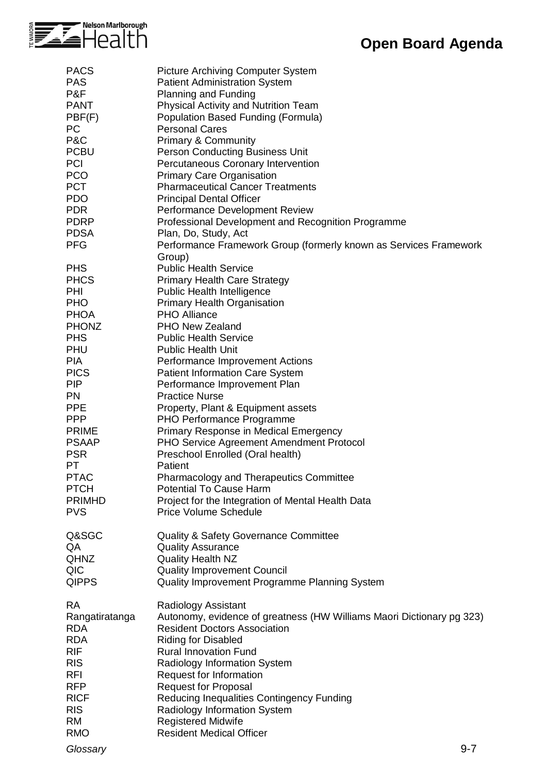

| <b>PACS</b>    | <b>Picture Archiving Computer System</b>                              |
|----------------|-----------------------------------------------------------------------|
| <b>PAS</b>     | <b>Patient Administration System</b>                                  |
| P&F            | Planning and Funding                                                  |
| <b>PANT</b>    | <b>Physical Activity and Nutrition Team</b>                           |
| PBF(F)         | Population Based Funding (Formula)                                    |
| <b>PC</b>      | <b>Personal Cares</b>                                                 |
| P&C            | <b>Primary &amp; Community</b>                                        |
| <b>PCBU</b>    |                                                                       |
|                | <b>Person Conducting Business Unit</b>                                |
| PCI            | Percutaneous Coronary Intervention                                    |
| <b>PCO</b>     | <b>Primary Care Organisation</b>                                      |
| <b>PCT</b>     | <b>Pharmaceutical Cancer Treatments</b>                               |
| <b>PDO</b>     | <b>Principal Dental Officer</b>                                       |
| <b>PDR</b>     | Performance Development Review                                        |
| <b>PDRP</b>    | Professional Development and Recognition Programme                    |
| <b>PDSA</b>    | Plan, Do, Study, Act                                                  |
| <b>PFG</b>     | Performance Framework Group (formerly known as Services Framework     |
|                | Group)                                                                |
| <b>PHS</b>     | <b>Public Health Service</b>                                          |
| <b>PHCS</b>    | <b>Primary Health Care Strategy</b>                                   |
| PHI            | <b>Public Health Intelligence</b>                                     |
| <b>PHO</b>     | <b>Primary Health Organisation</b>                                    |
| <b>PHOA</b>    | <b>PHO Alliance</b>                                                   |
| <b>PHONZ</b>   | <b>PHO New Zealand</b>                                                |
| <b>PHS</b>     | <b>Public Health Service</b>                                          |
| <b>PHU</b>     | <b>Public Health Unit</b>                                             |
| <b>PIA</b>     |                                                                       |
|                | Performance Improvement Actions                                       |
| <b>PICS</b>    | <b>Patient Information Care System</b>                                |
| <b>PIP</b>     | Performance Improvement Plan                                          |
| <b>PN</b>      | <b>Practice Nurse</b>                                                 |
| <b>PPE</b>     | Property, Plant & Equipment assets                                    |
| <b>PPP</b>     | PHO Performance Programme                                             |
| <b>PRIME</b>   | Primary Response in Medical Emergency                                 |
| <b>PSAAP</b>   | PHO Service Agreement Amendment Protocol                              |
| <b>PSR</b>     | Preschool Enrolled (Oral health)                                      |
| <b>PT</b>      | Patient                                                               |
| <b>PTAC</b>    | Pharmacology and Therapeutics Committee                               |
| <b>PTCH</b>    | <b>Potential To Cause Harm</b>                                        |
| <b>PRIMHD</b>  | Project for the Integration of Mental Health Data                     |
| <b>PVS</b>     | <b>Price Volume Schedule</b>                                          |
|                |                                                                       |
| Q&SGC          | <b>Quality &amp; Safety Governance Committee</b>                      |
| QA             | <b>Quality Assurance</b>                                              |
| <b>QHNZ</b>    | <b>Quality Health NZ</b>                                              |
| QIC            | <b>Quality Improvement Council</b>                                    |
| <b>QIPPS</b>   |                                                                       |
|                | Quality Improvement Programme Planning System                         |
| <b>RA</b>      |                                                                       |
|                | Radiology Assistant                                                   |
| Rangatiratanga | Autonomy, evidence of greatness (HW Williams Maori Dictionary pg 323) |
| <b>RDA</b>     | <b>Resident Doctors Association</b>                                   |
| <b>RDA</b>     | <b>Riding for Disabled</b>                                            |
| <b>RIF</b>     | <b>Rural Innovation Fund</b>                                          |
| <b>RIS</b>     | Radiology Information System                                          |
| <b>RFI</b>     | Request for Information                                               |
| <b>RFP</b>     | <b>Request for Proposal</b>                                           |
| <b>RICF</b>    | Reducing Inequalities Contingency Funding                             |
| <b>RIS</b>     | Radiology Information System                                          |
| <b>RM</b>      | <b>Registered Midwife</b>                                             |
| <b>RMO</b>     | <b>Resident Medical Officer</b>                                       |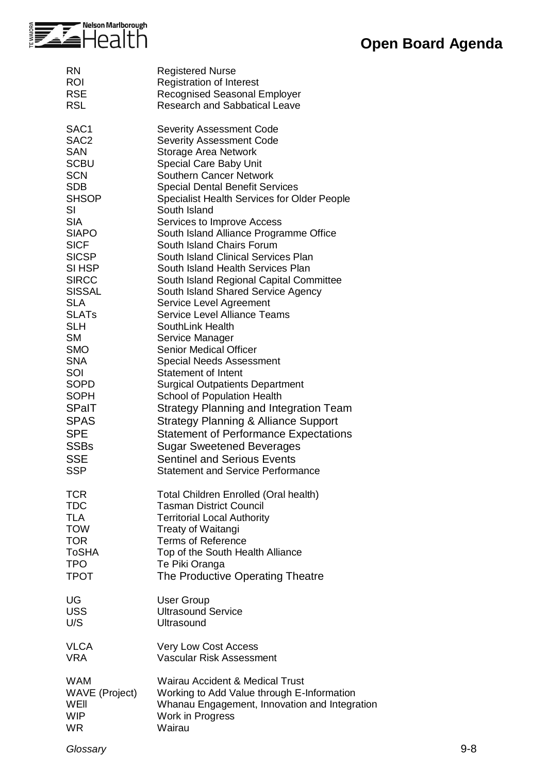

| <b>RN</b>             | <b>Registered Nurse</b>                            |
|-----------------------|----------------------------------------------------|
| <b>ROI</b>            | <b>Registration of Interest</b>                    |
| <b>RSE</b>            | <b>Recognised Seasonal Employer</b>                |
| <b>RSL</b>            | <b>Research and Sabbatical Leave</b>               |
| SAC1                  | <b>Severity Assessment Code</b>                    |
| SAC <sub>2</sub>      | <b>Severity Assessment Code</b>                    |
| SAN                   | Storage Area Network                               |
| <b>SCBU</b>           | <b>Special Care Baby Unit</b>                      |
| <b>SCN</b>            | <b>Southern Cancer Network</b>                     |
| <b>SDB</b>            | Special Dental Benefit Services                    |
| <b>SHSOP</b>          | <b>Specialist Health Services for Older People</b> |
| SI                    | South Island                                       |
| <b>SIA</b>            | Services to Improve Access                         |
| <b>SIAPO</b>          | South Island Alliance Programme Office             |
| <b>SICF</b>           | South Island Chairs Forum                          |
| <b>SICSP</b>          | <b>South Island Clinical Services Plan</b>         |
| SI HSP                | South Island Health Services Plan                  |
| <b>SIRCC</b>          | South Island Regional Capital Committee            |
| <b>SISSAL</b>         | South Island Shared Service Agency                 |
| <b>SLA</b>            | Service Level Agreement                            |
| <b>SLATs</b>          | <b>Service Level Alliance Teams</b>                |
| <b>SLH</b>            | SouthLink Health                                   |
| <b>SM</b>             | Service Manager                                    |
| <b>SMO</b>            | <b>Senior Medical Officer</b>                      |
| <b>SNA</b>            | <b>Special Needs Assessment</b>                    |
| SOI                   | <b>Statement of Intent</b>                         |
| SOPD                  | <b>Surgical Outpatients Department</b>             |
| <b>SOPH</b>           | <b>School of Population Health</b>                 |
| SPaIT                 | <b>Strategy Planning and Integration Team</b>      |
| <b>SPAS</b>           | <b>Strategy Planning &amp; Alliance Support</b>    |
| <b>SPE</b>            | <b>Statement of Performance Expectations</b>       |
| <b>SSBs</b>           | Sugar Sweetened Beverages                          |
| <b>SSE</b>            | <b>Sentinel and Serious Events</b>                 |
| <b>SSP</b>            | <b>Statement and Service Performance</b>           |
| <b>TCR</b>            | Total Children Enrolled (Oral health)              |
| <b>TDC</b>            | <b>Tasman District Council</b>                     |
| <b>TLA</b>            | <b>Territorial Local Authority</b>                 |
| <b>TOW</b>            | Treaty of Waitangi                                 |
| <b>TOR</b>            | <b>Terms of Reference</b>                          |
| <b>ToSHA</b>          | Top of the South Health Alliance                   |
| <b>TPO</b>            | Te Piki Oranga                                     |
| <b>TPOT</b>           | The Productive Operating Theatre                   |
| UG                    | <b>User Group</b>                                  |
| <b>USS</b>            | <b>Ultrasound Service</b>                          |
| U/S                   | Ultrasound                                         |
| <b>VLCA</b>           | <b>Very Low Cost Access</b>                        |
| <b>VRA</b>            | <b>Vascular Risk Assessment</b>                    |
| <b>WAM</b>            | <b>Wairau Accident &amp; Medical Trust</b>         |
| <b>WAVE</b> (Project) | Working to Add Value through E-Information         |
| WEII                  | Whanau Engagement, Innovation and Integration      |
| <b>WIP</b>            | Work in Progress                                   |
| <b>WR</b>             | Wairau                                             |